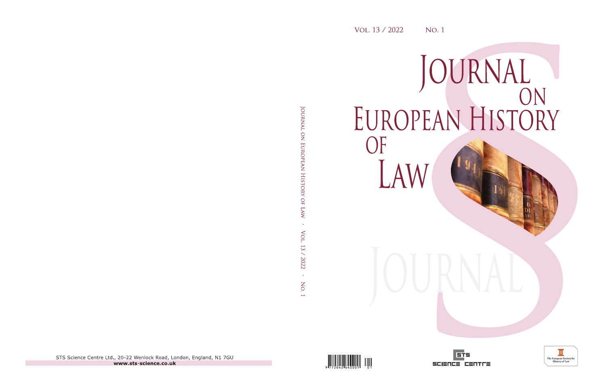## JOURNAL<br>EUROPEAN HISTORY OF LAW